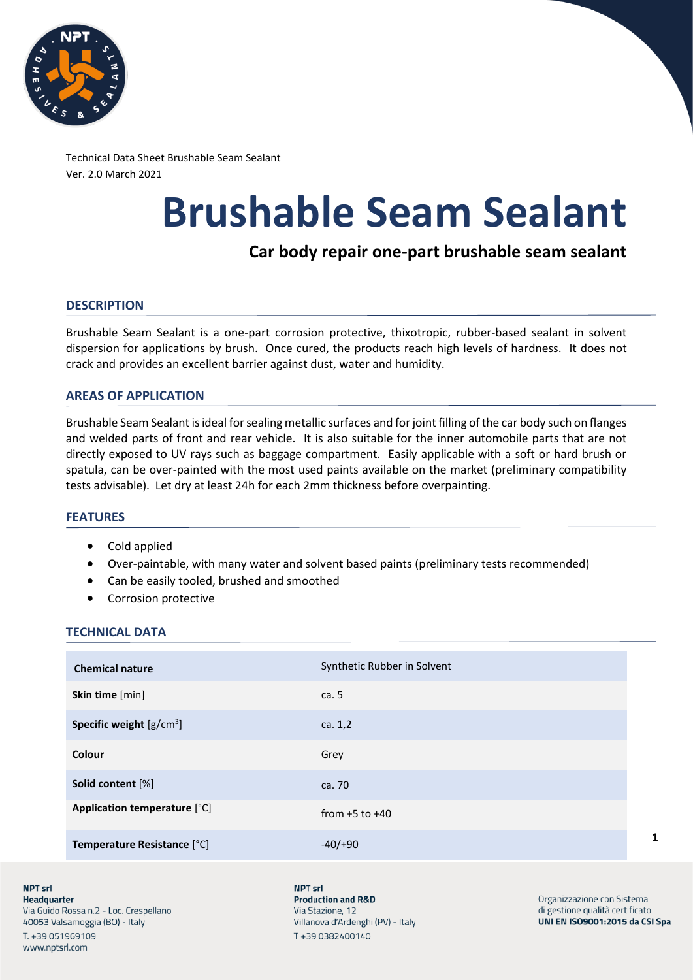

Technical Data Sheet Brushable Seam Sealant Ver. 2.0 March 2021

# **Brushable Seam Sealant**

# **Car body repair one-part brushable seam sealant**

# **DESCRIPTION**

Brushable Seam Sealant is a one-part corrosion protective, thixotropic, rubber-based sealant in solvent dispersion for applications by brush. Once cured, the products reach high levels of hardness. It does not crack and provides an excellent barrier against dust, water and humidity.

# **AREAS OF APPLICATION**

Brushable Seam Sealant is ideal for sealing metallic surfaces and for joint filling of the car body such on flanges and welded parts of front and rear vehicle. It is also suitable for the inner automobile parts that are not directly exposed to UV rays such as baggage compartment. Easily applicable with a soft or hard brush or spatula, can be over-painted with the most used paints available on the market (preliminary compatibility tests advisable). Let dry at least 24h for each 2mm thickness before overpainting.

# **FEATURES**

- Cold applied
- Over-paintable, with many water and solvent based paints (preliminary tests recommended)
- Can be easily tooled, brushed and smoothed
- Corrosion protective

# **TECHNICAL DATA**

| <b>Chemical nature</b>       | Synthetic Rubber in Solvent |
|------------------------------|-----------------------------|
| Skin time [min]              | ca. 5                       |
| Specific weight $[g/cm^3]$   | ca. $1,2$                   |
| Colour                       | Grey                        |
| Solid content [%]            | ca. 70                      |
| Application temperature [°C] | from $+5$ to $+40$          |
| Temperature Resistance [°C]  | $-40/ +90$                  |

**NPT srl** Headquarter Via Guido Rossa n.2 - Loc. Crespellano 40053 Valsamoggia (BO) - Italy T. +39 051969109 www.nptsrl.com

NPT<sub>srl</sub> **Production and R&D** Via Stazione, 12 Villanova d'Ardenghi (PV) - Italy T+390382400140

Organizzazione con Sistema di gestione qualità certificato UNI EN ISO9001:2015 da CSI Spa

**1**